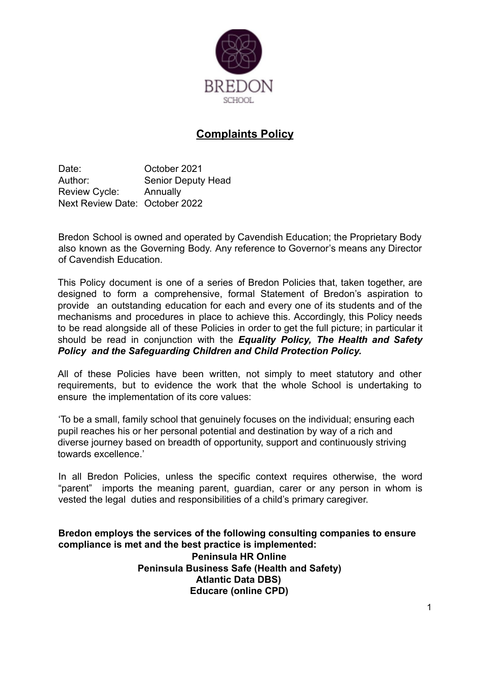

# **Complaints Policy**

Date: **October 2021** Author: Senior Deputy Head Review Cycle: Annually Next Review Date: October 2022

Bredon School is owned and operated by Cavendish Education; the Proprietary Body also known as the Governing Body. Any reference to Governor's means any Director of Cavendish Education.

This Policy document is one of a series of Bredon Policies that, taken together, are designed to form a comprehensive, formal Statement of Bredon's aspiration to provide an outstanding education for each and every one of its students and of the mechanisms and procedures in place to achieve this. Accordingly, this Policy needs to be read alongside all of these Policies in order to get the full picture; in particular it should be read in conjunction with the *Equality Policy, The Health and Safety Policy and the Safeguarding Children and Child Protection Policy.*

All of these Policies have been written, not simply to meet statutory and other requirements, but to evidence the work that the whole School is undertaking to ensure the implementation of its core values:

'To be a small, family school that genuinely focuses on the individual; ensuring each pupil reaches his or her personal potential and destination by way of a rich and diverse journey based on breadth of opportunity, support and continuously striving towards excellence.'

In all Bredon Policies, unless the specific context requires otherwise, the word "parent" imports the meaning parent, guardian, carer or any person in whom is vested the legal duties and responsibilities of a child's primary caregiver.

#### **Bredon employs the services of the following consulting companies to ensure compliance is met and the best practice is implemented: Peninsula HR Online Peninsula Business Safe (Health and Safety) Atlantic Data DBS) Educare (online CPD)**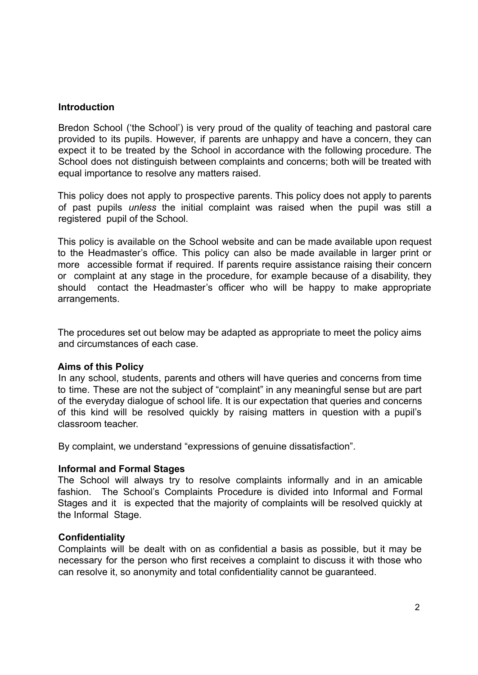#### **Introduction**

Bredon School ('the School') is very proud of the quality of teaching and pastoral care provided to its pupils. However, if parents are unhappy and have a concern, they can expect it to be treated by the School in accordance with the following procedure. The School does not distinguish between complaints and concerns; both will be treated with equal importance to resolve any matters raised.

This policy does not apply to prospective parents. This policy does not apply to parents of past pupils *unless* the initial complaint was raised when the pupil was still a registered pupil of the School.

This policy is available on the School website and can be made available upon request to the Headmaster's office. This policy can also be made available in larger print or more accessible format if required. If parents require assistance raising their concern or complaint at any stage in the procedure, for example because of a disability, they should contact the Headmaster's officer who will be happy to make appropriate arrangements.

The procedures set out below may be adapted as appropriate to meet the policy aims and circumstances of each case.

#### **Aims of this Policy**

In any school, students, parents and others will have queries and concerns from time to time. These are not the subject of "complaint" in any meaningful sense but are part of the everyday dialogue of school life. It is our expectation that queries and concerns of this kind will be resolved quickly by raising matters in question with a pupil's classroom teacher.

By complaint, we understand "expressions of genuine dissatisfaction".

#### **Informal and Formal Stages**

The School will always try to resolve complaints informally and in an amicable fashion. The School's Complaints Procedure is divided into Informal and Formal Stages and it is expected that the majority of complaints will be resolved quickly at the Informal Stage.

#### **Confidentiality**

Complaints will be dealt with on as confidential a basis as possible, but it may be necessary for the person who first receives a complaint to discuss it with those who can resolve it, so anonymity and total confidentiality cannot be guaranteed.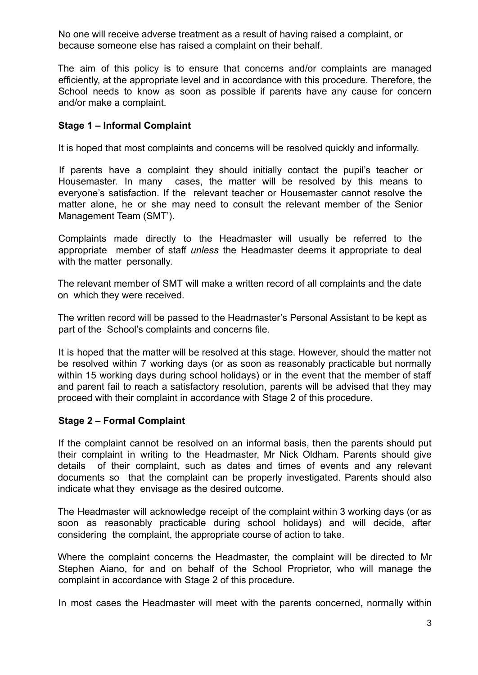No one will receive adverse treatment as a result of having raised a complaint, or because someone else has raised a complaint on their behalf.

The aim of this policy is to ensure that concerns and/or complaints are managed efficiently, at the appropriate level and in accordance with this procedure. Therefore, the School needs to know as soon as possible if parents have any cause for concern and/or make a complaint.

#### **Stage 1 – Informal Complaint**

It is hoped that most complaints and concerns will be resolved quickly and informally.

If parents have a complaint they should initially contact the pupil's teacher or Housemaster. In many cases, the matter will be resolved by this means to everyone's satisfaction. If the relevant teacher or Housemaster cannot resolve the matter alone, he or she may need to consult the relevant member of the Senior Management Team (SMT').

Complaints made directly to the Headmaster will usually be referred to the appropriate member of staff *unless* the Headmaster deems it appropriate to deal with the matter personally.

The relevant member of SMT will make a written record of all complaints and the date on which they were received.

The written record will be passed to the Headmaster's Personal Assistant to be kept as part of the School's complaints and concerns file.

It is hoped that the matter will be resolved at this stage. However, should the matter not be resolved within 7 working days (or as soon as reasonably practicable but normally within 15 working days during school holidays) or in the event that the member of staff and parent fail to reach a satisfactory resolution, parents will be advised that they may proceed with their complaint in accordance with Stage 2 of this procedure.

## **Stage 2 – Formal Complaint**

If the complaint cannot be resolved on an informal basis, then the parents should put their complaint in writing to the Headmaster, Mr Nick Oldham. Parents should give details of their complaint, such as dates and times of events and any relevant documents so that the complaint can be properly investigated. Parents should also indicate what they envisage as the desired outcome.

The Headmaster will acknowledge receipt of the complaint within 3 working days (or as soon as reasonably practicable during school holidays) and will decide, after considering the complaint, the appropriate course of action to take.

Where the complaint concerns the Headmaster, the complaint will be directed to Mr Stephen Aiano, for and on behalf of the School Proprietor, who will manage the complaint in accordance with Stage 2 of this procedure.

In most cases the Headmaster will meet with the parents concerned, normally within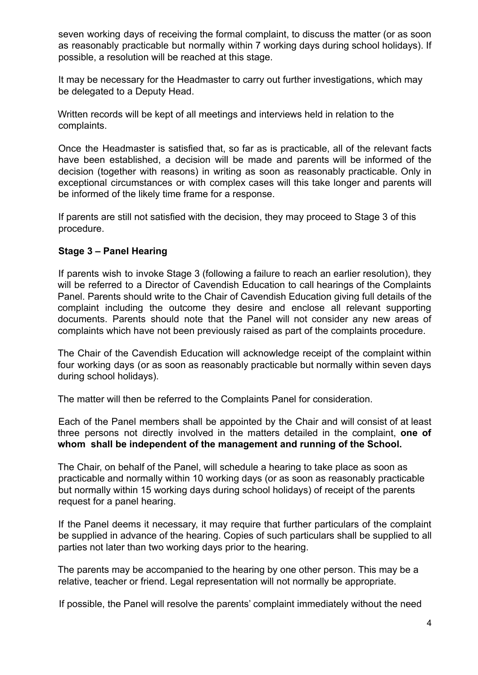seven working days of receiving the formal complaint, to discuss the matter (or as soon as reasonably practicable but normally within 7 working days during school holidays). If possible, a resolution will be reached at this stage.

It may be necessary for the Headmaster to carry out further investigations, which may be delegated to a Deputy Head.

Written records will be kept of all meetings and interviews held in relation to the complaints.

Once the Headmaster is satisfied that, so far as is practicable, all of the relevant facts have been established, a decision will be made and parents will be informed of the decision (together with reasons) in writing as soon as reasonably practicable. Only in exceptional circumstances or with complex cases will this take longer and parents will be informed of the likely time frame for a response.

If parents are still not satisfied with the decision, they may proceed to Stage 3 of this procedure.

## **Stage 3 – Panel Hearing**

If parents wish to invoke Stage 3 (following a failure to reach an earlier resolution), they will be referred to a Director of Cavendish Education to call hearings of the Complaints Panel. Parents should write to the Chair of Cavendish Education giving full details of the complaint including the outcome they desire and enclose all relevant supporting documents. Parents should note that the Panel will not consider any new areas of complaints which have not been previously raised as part of the complaints procedure.

The Chair of the Cavendish Education will acknowledge receipt of the complaint within four working days (or as soon as reasonably practicable but normally within seven days during school holidays).

The matter will then be referred to the Complaints Panel for consideration.

Each of the Panel members shall be appointed by the Chair and will consist of at least three persons not directly involved in the matters detailed in the complaint, **one of whom shall be independent of the management and running of the School.**

The Chair, on behalf of the Panel, will schedule a hearing to take place as soon as practicable and normally within 10 working days (or as soon as reasonably practicable but normally within 15 working days during school holidays) of receipt of the parents request for a panel hearing.

If the Panel deems it necessary, it may require that further particulars of the complaint be supplied in advance of the hearing. Copies of such particulars shall be supplied to all parties not later than two working days prior to the hearing.

The parents may be accompanied to the hearing by one other person. This may be a relative, teacher or friend. Legal representation will not normally be appropriate.

If possible, the Panel will resolve the parents' complaint immediately without the need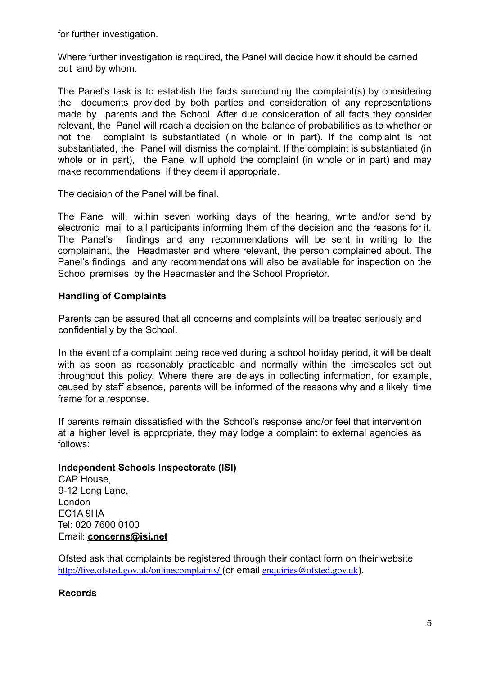for further investigation.

Where further investigation is required, the Panel will decide how it should be carried out and by whom.

The Panel's task is to establish the facts surrounding the complaint(s) by considering the documents provided by both parties and consideration of any representations made by parents and the School. After due consideration of all facts they consider relevant, the Panel will reach a decision on the balance of probabilities as to whether or not the complaint is substantiated (in whole or in part). If the complaint is not substantiated, the Panel will dismiss the complaint. If the complaint is substantiated (in whole or in part), the Panel will uphold the complaint (in whole or in part) and may make recommendations if they deem it appropriate.

The decision of the Panel will be final.

The Panel will, within seven working days of the hearing, write and/or send by electronic mail to all participants informing them of the decision and the reasons for it. The Panel's findings and any recommendations will be sent in writing to the complainant, the Headmaster and where relevant, the person complained about. The Panel's findings and any recommendations will also be available for inspection on the School premises by the Headmaster and the School Proprietor.

#### **Handling of Complaints**

Parents can be assured that all concerns and complaints will be treated seriously and confidentially by the School.

In the event of a complaint being received during a school holiday period, it will be dealt with as soon as reasonably practicable and normally within the timescales set out throughout this policy. Where there are delays in collecting information, for example, caused by staff absence, parents will be informed of the reasons why and a likely time frame for a response.

If parents remain dissatisfied with the School's response and/or feel that intervention at a higher level is appropriate, they may lodge a complaint to external agencies as follows:

## **Independent Schools Inspectorate (ISI)**

CAP House, 9-12 Long Lane, London EC1A 9HA Tel: 020 7600 0100 Email: **concerns@isi.net**

Ofsted ask that complaints be registered through their contact form on their website http://live.ofsted.gov.uk/onlinecomplaints/ (or email enquiries@ofsted.gov.uk).

## **Records**